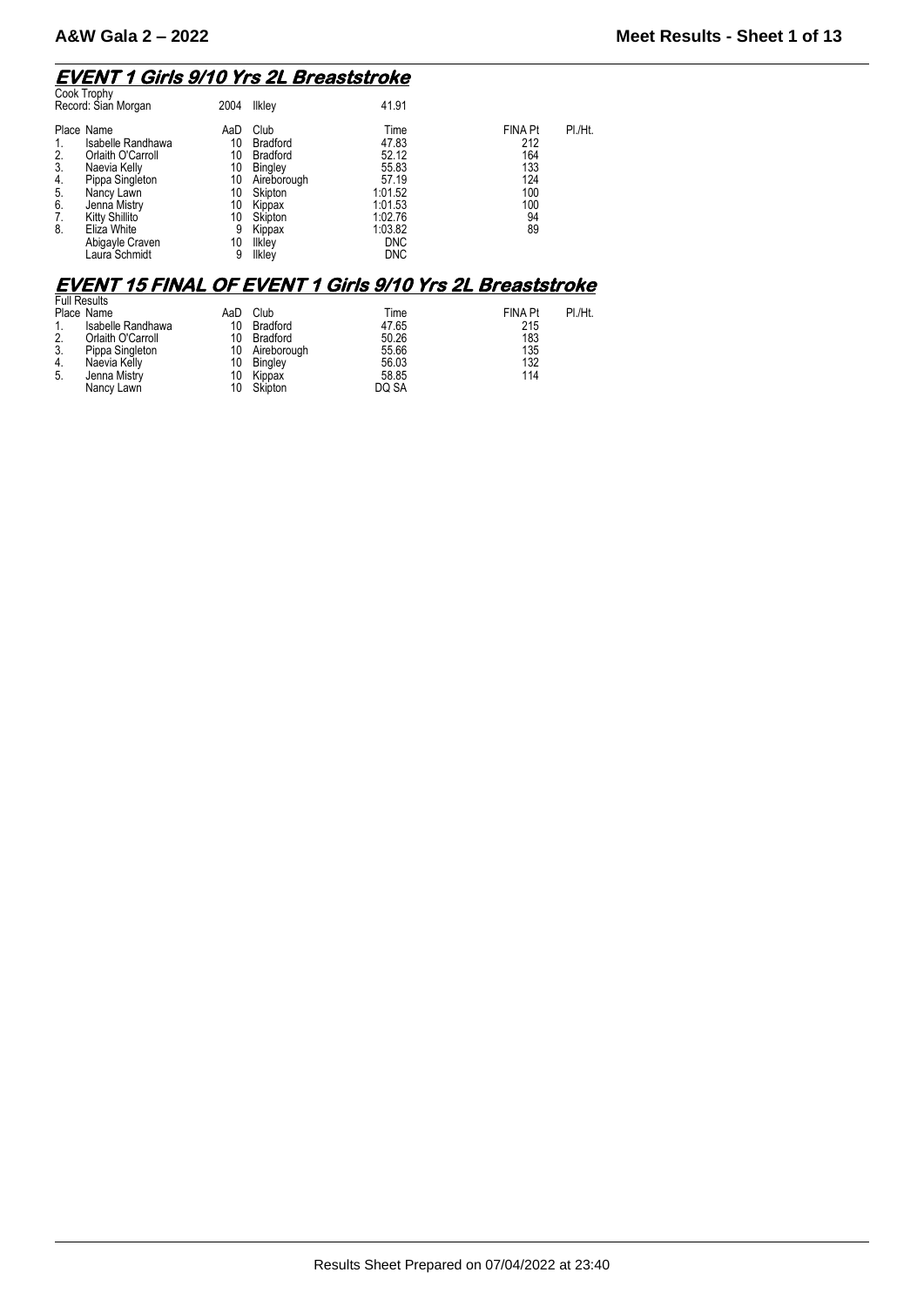#### **EVENT 1 Girls 9/10 Yrs 2L Breaststroke**

| Cook Trophy<br>Record: Sian Morgan                                                                                                                                                                                                   | 2004                                                          | Ilkley                                                                                                                             | 41.91                                                                                                            |                                                                      |         |
|--------------------------------------------------------------------------------------------------------------------------------------------------------------------------------------------------------------------------------------|---------------------------------------------------------------|------------------------------------------------------------------------------------------------------------------------------------|------------------------------------------------------------------------------------------------------------------|----------------------------------------------------------------------|---------|
| Place Name<br>Isabelle Randhawa<br>2.<br>Orlaith O'Carroll<br>3.<br>Naevia Kelly<br>Pippa Singleton<br>4.<br>5.<br>Nancy Lawn<br>6.<br>Jenna Mistry<br>Kitty Shillito<br>7.<br>Eliza White<br>8.<br>Abigayle Craven<br>Laura Schmidt | AaD<br>10<br>10<br>10<br>10<br>10<br>10<br>10<br>9<br>10<br>9 | Club<br><b>Bradford</b><br><b>Bradford</b><br>Bingley<br>Aireborough<br>Skipton<br>Kippax<br>Skipton<br>Kippax<br>Ilkley<br>Ilkley | Time<br>47.83<br>52.12<br>55.83<br>57.19<br>1:01.52<br>1:01.53<br>1:02.76<br>1:03.82<br><b>DNC</b><br><b>DNC</b> | <b>FINA Pt</b><br>212<br>164<br>133<br>124<br>100<br>100<br>94<br>89 | PI./Ht. |
|                                                                                                                                                                                                                                      |                                                               |                                                                                                                                    |                                                                                                                  |                                                                      |         |

### **EVENT 15 FINAL OF EVENT 1 Girls 9/10 Yrs 2L Breaststroke**

|    | <b>Full Results</b> |     |                |       |         |         |
|----|---------------------|-----|----------------|-------|---------|---------|
|    | Place Name          | AaD | Club           | Time  | FINA Pt | PI./Ht. |
| 1. | Isabelle Randhawa   | 10  | Bradford       | 47.65 | 215     |         |
| 2. | Orlaith O'Carroll   | 10  | Bradford       | 50.26 | 183     |         |
| 3. | Pippa Singleton     |     | 10 Aireborough | 55.66 | 135     |         |
| 4. | Naevia Kelly        |     | 10 Bingley     | 56.03 | 132     |         |
| 5. | Jenna Mistry        | 10  | Kippax         | 58.85 | 114     |         |
|    | Nancy Lawn          | 10  | Skipton        | DQ SA |         |         |
|    |                     |     |                |       |         |         |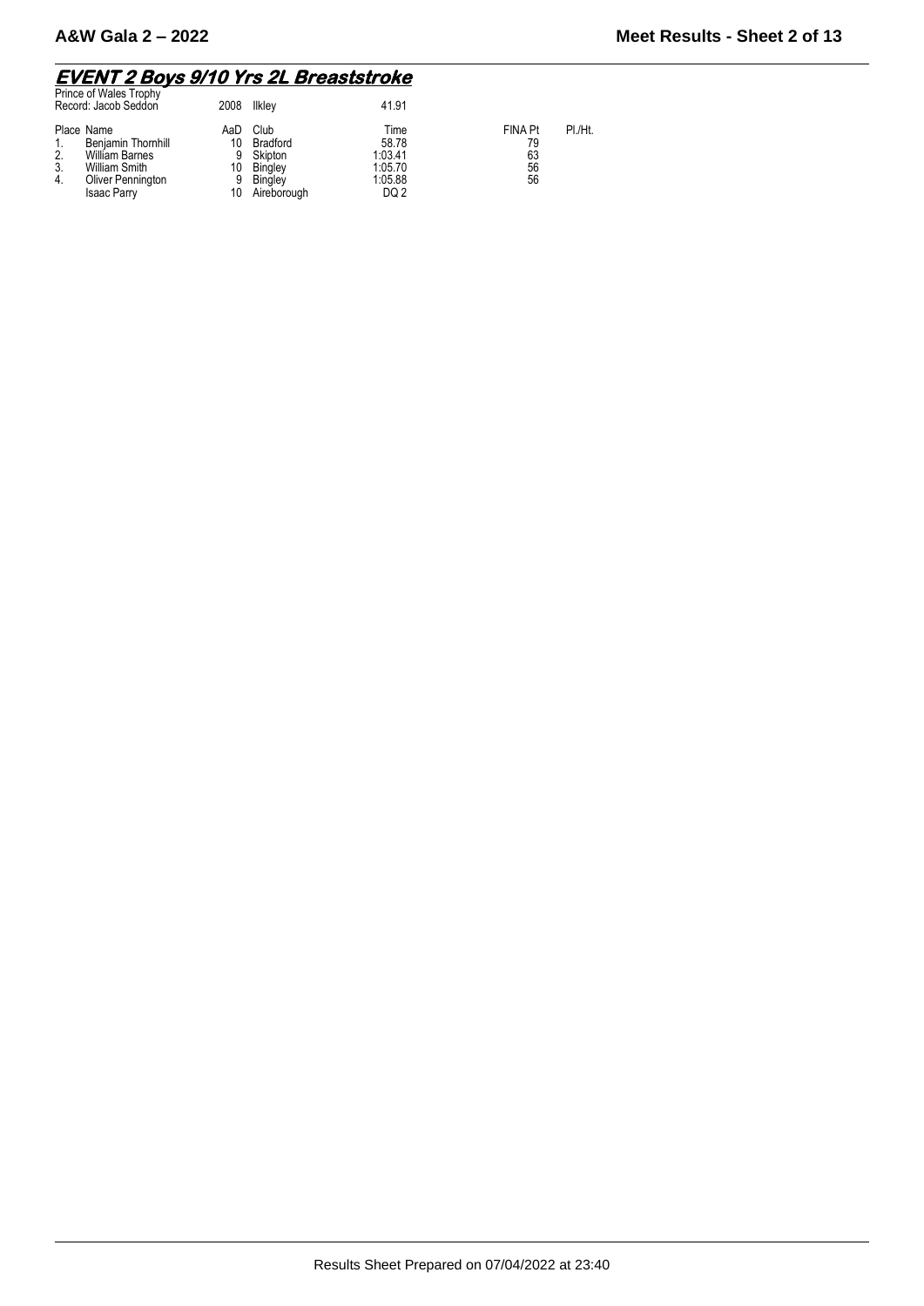#### **EVENT 2 Boys 9/10 Yrs 2L Breaststroke**

| Prince of Wales Trophy<br>Record: Jacob Seddon                                                                                          | 2008                            | llkley                                                                  | 41.91                                                  |                                                   |
|-----------------------------------------------------------------------------------------------------------------------------------------|---------------------------------|-------------------------------------------------------------------------|--------------------------------------------------------|---------------------------------------------------|
| Place Name<br>Benjamin Thornhill<br>2.<br><b>William Barnes</b><br>3.<br>William Smith<br>Oliver Pennington<br>4.<br><b>Isaac Parry</b> | AaD<br>10<br>9<br>10<br>9<br>10 | Club<br><b>Bradford</b><br>Skipton<br>Bingley<br>Bingley<br>Aireborough | Time<br>58.78<br>1:03.41<br>1:05.70<br>1:05.88<br>DQ 2 | <b>FINA Pt</b><br>PI./Ht.<br>79<br>63<br>56<br>56 |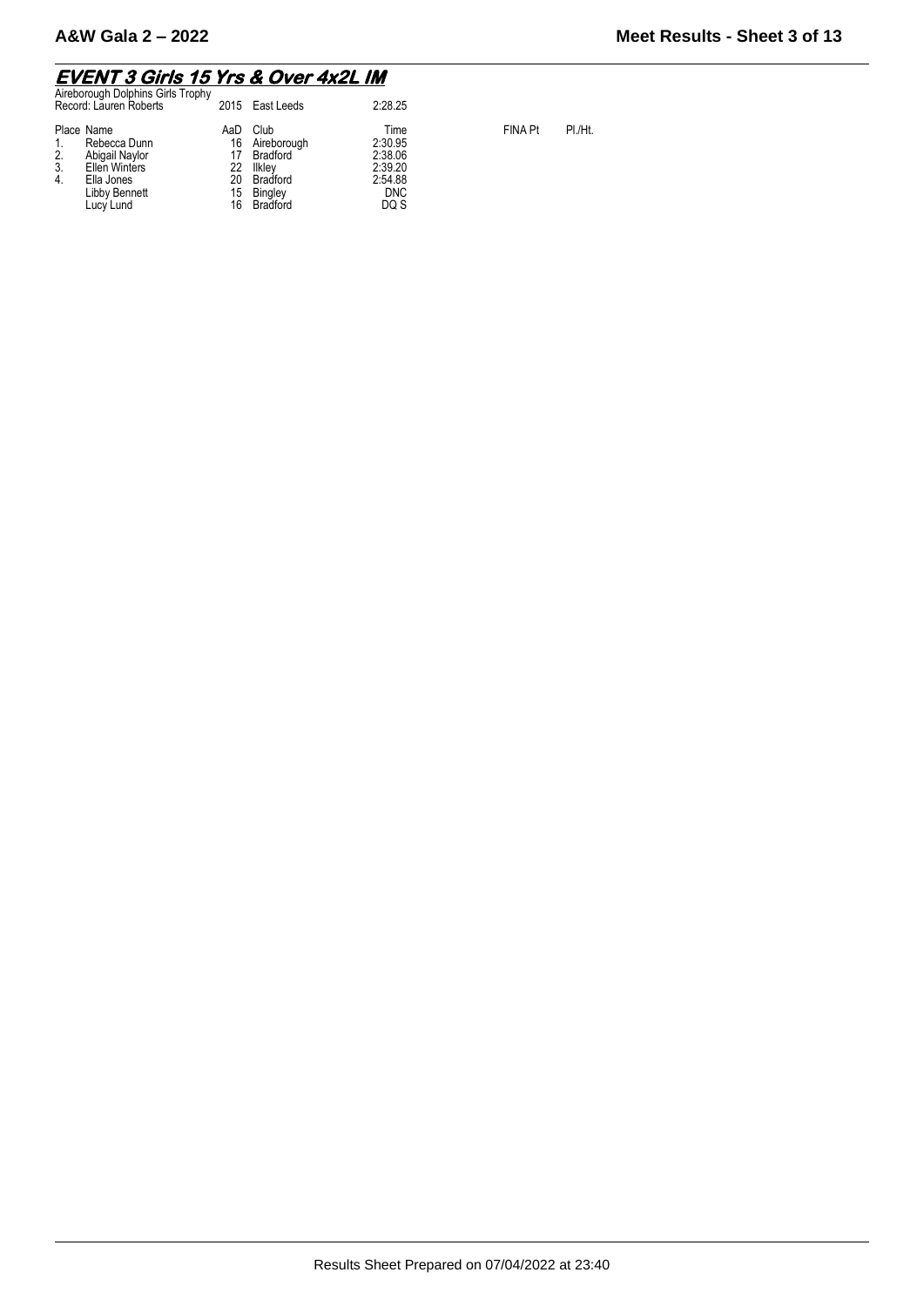#### **EVENT 3 Girls 15 Yrs & Over 4x2L IM**

| Aireborough Dolphins Girls Trophy<br>Record: Lauren Roberts                                                                 |                                   | 2015 East Leeds                                                              | 2:28.25                                                                |                |         |
|-----------------------------------------------------------------------------------------------------------------------------|-----------------------------------|------------------------------------------------------------------------------|------------------------------------------------------------------------|----------------|---------|
| Place Name<br>Rebecca Dunn<br>2.<br>Abigail Naylor<br>3.<br>Ellen Winters<br>4.<br>Ella Jones<br>Libby Bennett<br>Lucy Lund | AaD<br>16<br>22<br>20<br>15<br>16 | Club<br>Aireborough<br>Bradford<br>Ilklev<br>Bradford<br>Bingley<br>Bradford | Time<br>2:30.95<br>2:38.06<br>2:39.20<br>2:54.88<br><b>DNC</b><br>DQ S | <b>FINA Pt</b> | PI./Ht. |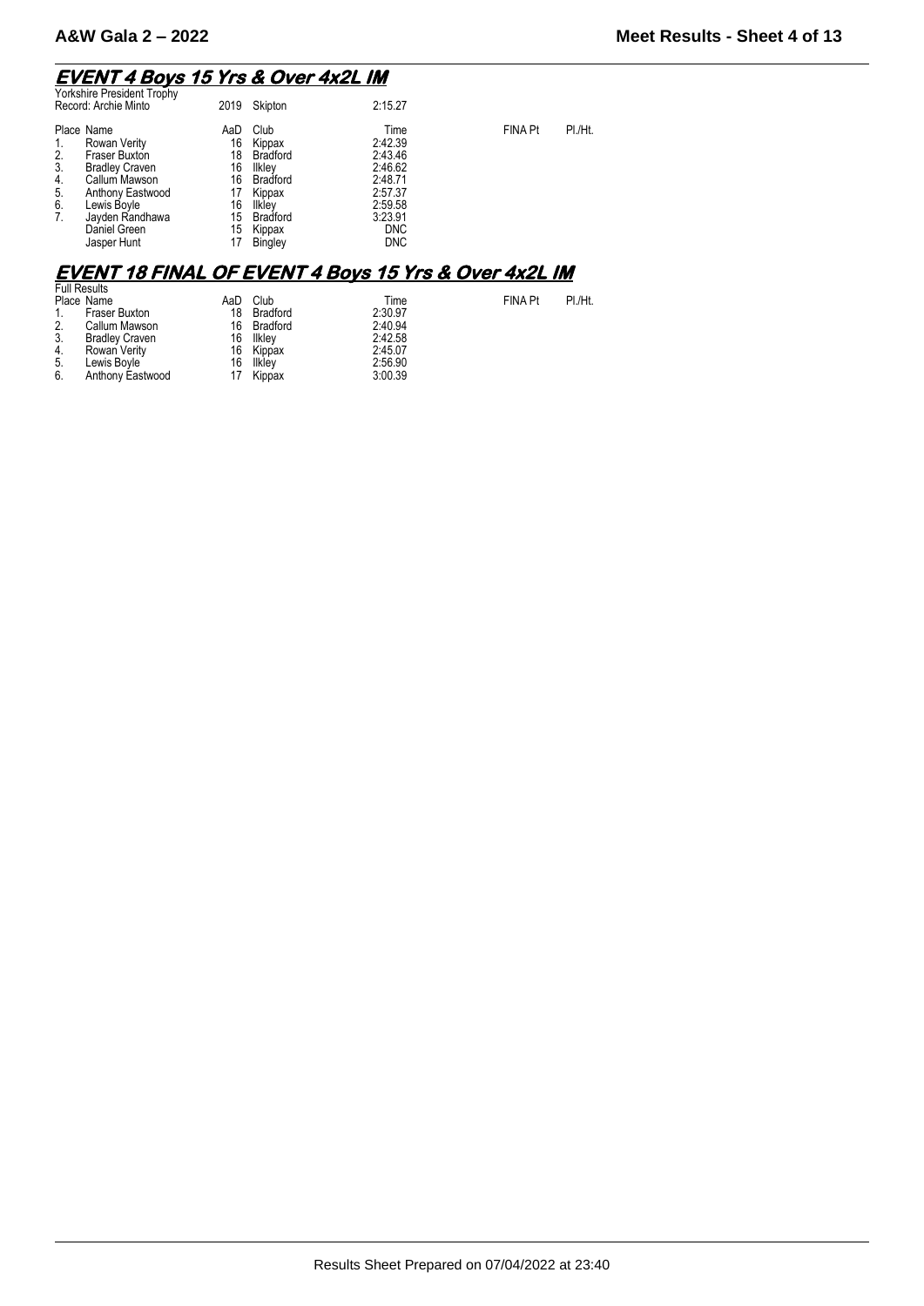#### **EVENT 4 Boys 15 Yrs & Over 4x2L IM**

| <b>Yorkshire President Trophy</b><br>Record: Archie Minto                                                                                                                                                            | 2019                                                      | Skipton                                                                                                                    | 2:15.27                                                                                                       |                |         |
|----------------------------------------------------------------------------------------------------------------------------------------------------------------------------------------------------------------------|-----------------------------------------------------------|----------------------------------------------------------------------------------------------------------------------------|---------------------------------------------------------------------------------------------------------------|----------------|---------|
| Place Name<br>Rowan Verity<br>1.<br>Fraser Buxton<br>2.<br>3.<br><b>Bradley Craven</b><br>4.<br>Callum Mawson<br>5.<br>Anthony Eastwood<br>6.<br>Lewis Boyle<br>7.<br>Jayden Randhawa<br>Daniel Green<br>Jasper Hunt | AaD<br>16<br>18<br>16<br>16<br>17<br>16<br>15<br>15<br>17 | Club<br>Kippax<br><b>Bradford</b><br>Ilkley<br><b>Bradford</b><br>Kippax<br>Ilkley<br><b>Bradford</b><br>Kippax<br>Bingley | Time<br>2:42.39<br>2:43.46<br>2:46.62<br>2:48.71<br>2:57.37<br>2:59.58<br>3:23.91<br><b>DNC</b><br><b>DNC</b> | FINA Pt        | PI./Ht. |
|                                                                                                                                                                                                                      |                                                           |                                                                                                                            | <b>EVENT 18 FINAL OF EVENT 4 Boys 15 Yrs &amp; Over 4x2L IM</b>                                               |                |         |
| <b>Full Results</b><br>Place Name                                                                                                                                                                                    | AaD                                                       | Club                                                                                                                       | Time                                                                                                          | <b>FINA Pt</b> | PI./Ht. |

|                 | Place Ivalitie        | AdD | <b>URD</b>  | тиве    |
|-----------------|-----------------------|-----|-------------|---------|
| 1.              | <b>Fraser Buxton</b>  | 18  | Bradford    | 2:30.97 |
| $\frac{2}{3}$ . | Callum Mawson         |     | 16 Bradford | 2:40.94 |
|                 | <b>Bradley Craven</b> |     | 16 Ilkley   | 2:42.58 |
| 4.              | Rowan Verity          |     | 16 Kippax   | 2:45.07 |
| 5.              | Lewis Boyle           |     | 16 Ilkley   | 2:56.90 |
| 6.              | Anthony Eastwood      |     | 17 Kippax   | 3:00.39 |
|                 |                       |     |             |         |

Results Sheet Prepared on 07/04/2022 at 23:40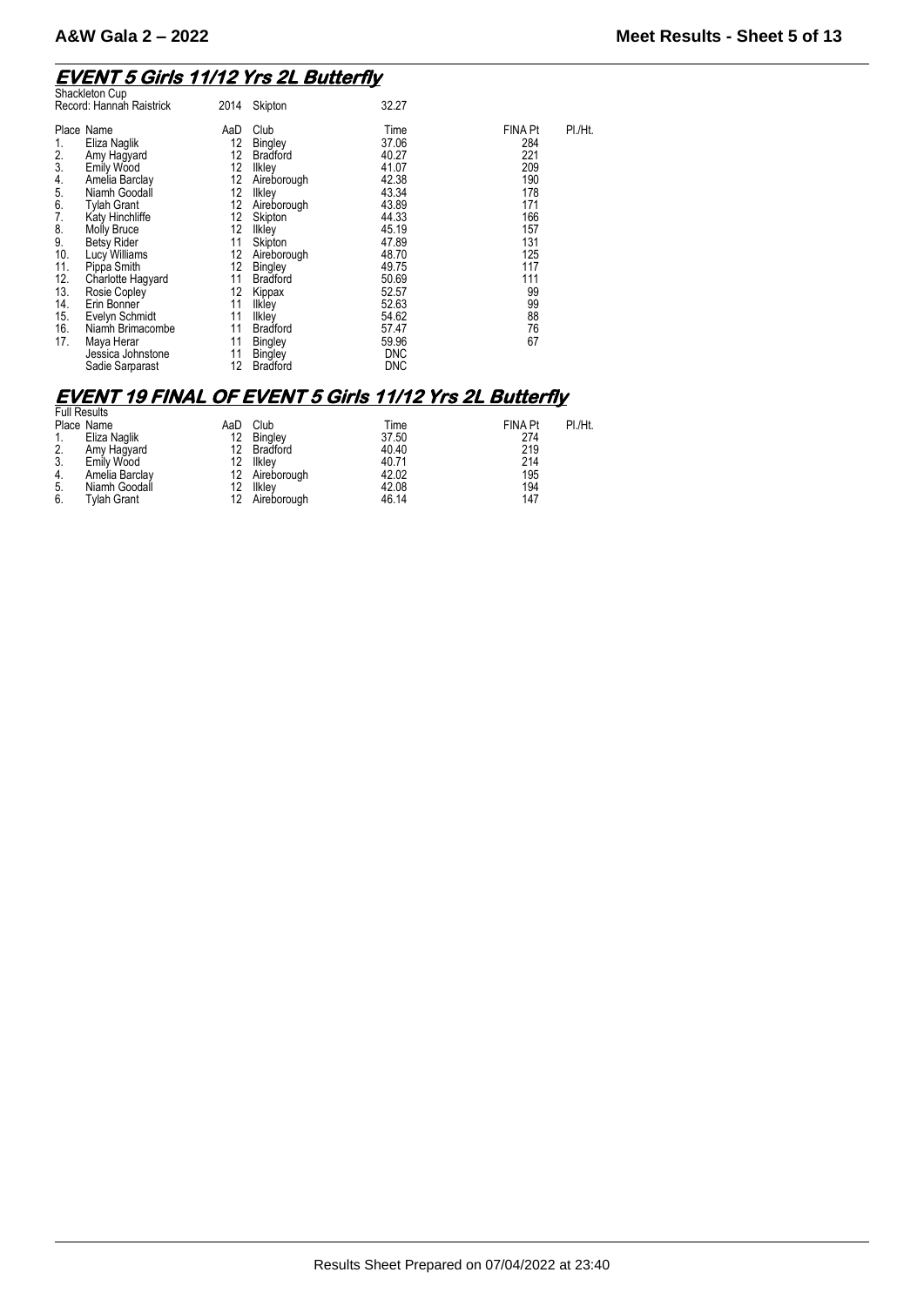## **EVENT 5 Girls 11/12 Yrs 2L Butterfly**  Shackleton Cup

| Shackleton Cup<br>Record: Hannah Raistrick                                                                                                                                                                                                                                                                                                                                                                                                                             | 2014                                                                                                                  | Skipton                                                                                                                                                                                                                                                                                 | 32.27                                                                                                                                                                                     |                                                                                                                                  |         |
|------------------------------------------------------------------------------------------------------------------------------------------------------------------------------------------------------------------------------------------------------------------------------------------------------------------------------------------------------------------------------------------------------------------------------------------------------------------------|-----------------------------------------------------------------------------------------------------------------------|-----------------------------------------------------------------------------------------------------------------------------------------------------------------------------------------------------------------------------------------------------------------------------------------|-------------------------------------------------------------------------------------------------------------------------------------------------------------------------------------------|----------------------------------------------------------------------------------------------------------------------------------|---------|
| Place Name<br>Eliza Naglik<br>1.<br>2.<br>Amy Hagyard<br>3.<br>Emily Wood<br>4.<br>Amelia Barclay<br>5.<br>Niamh Goodall<br>6.<br><b>Tylah Grant</b><br>7.<br>Katy Hinchliffe<br>8.<br>Molly Bruce<br>9.<br><b>Betsy Rider</b><br>10.<br>Lucy Williams<br>11.<br>Pippa Smith<br>12.<br>Charlotte Hagyard<br>13.<br>Rosie Copley<br>14.<br>Erin Bonner<br>15.<br>Evelyn Schmidt<br>16.<br>Niamh Brimacombe<br>17.<br>Maya Herar<br>Jessica Johnstone<br>Sadie Sarparast | AaD<br>12<br>12<br>12<br>12<br>12<br>12<br>12<br>12<br>11<br>12<br>12<br>11<br>12<br>11<br>11<br>11<br>11<br>11<br>12 | Club<br>Bingley<br><b>Bradford</b><br>Ilkley<br>Aireborough<br>Ilkley<br>Aireborough<br>Skipton<br><b>Ilkley</b><br>Skipton<br>Aireborough<br>Bingley<br><b>Bradford</b><br>Kippax<br><b>Ilkley</b><br>Ilkley<br><b>Bradford</b><br><b>Bingley</b><br><b>Bingley</b><br><b>Bradford</b> | Time<br>37.06<br>40.27<br>41.07<br>42.38<br>43.34<br>43.89<br>44.33<br>45.19<br>47.89<br>48.70<br>49.75<br>50.69<br>52.57<br>52.63<br>54.62<br>57.47<br>59.96<br><b>DNC</b><br><b>DNC</b> | <b>FINA Pt</b><br>284<br>221<br>209<br>190<br>178<br>171<br>166<br>157<br>131<br>125<br>117<br>111<br>99<br>99<br>88<br>76<br>67 | PI./Ht. |

### **EVENT 19 FINAL OF EVENT 5 Girls 11/12 Yrs 2L Butterfly**

| <b>Full Results</b> |                |             |                                   |                |         |
|---------------------|----------------|-------------|-----------------------------------|----------------|---------|
| Place Name          | AaD            | Club        | Time                              | <b>FINA Pt</b> | PI./Ht. |
| Eliza Naglik        | 12             | Bingley     | 37.50                             | 274            |         |
| Amy Hagyard         | 12             |             | 40.40                             | 219            |         |
| Emily Wood          | 12             | llkley      | 40.71                             | 214            |         |
|                     |                |             | 42.02                             | 195            |         |
| Niamh Goodall       | 12             | Ilklev      | 42.08                             | 194            |         |
| <b>Tylah Grant</b>  | 12             | Aireborough | 46.14                             | 147            |         |
|                     | Amelia Barclay |             | <b>Bradford</b><br>12 Aireborough |                |         |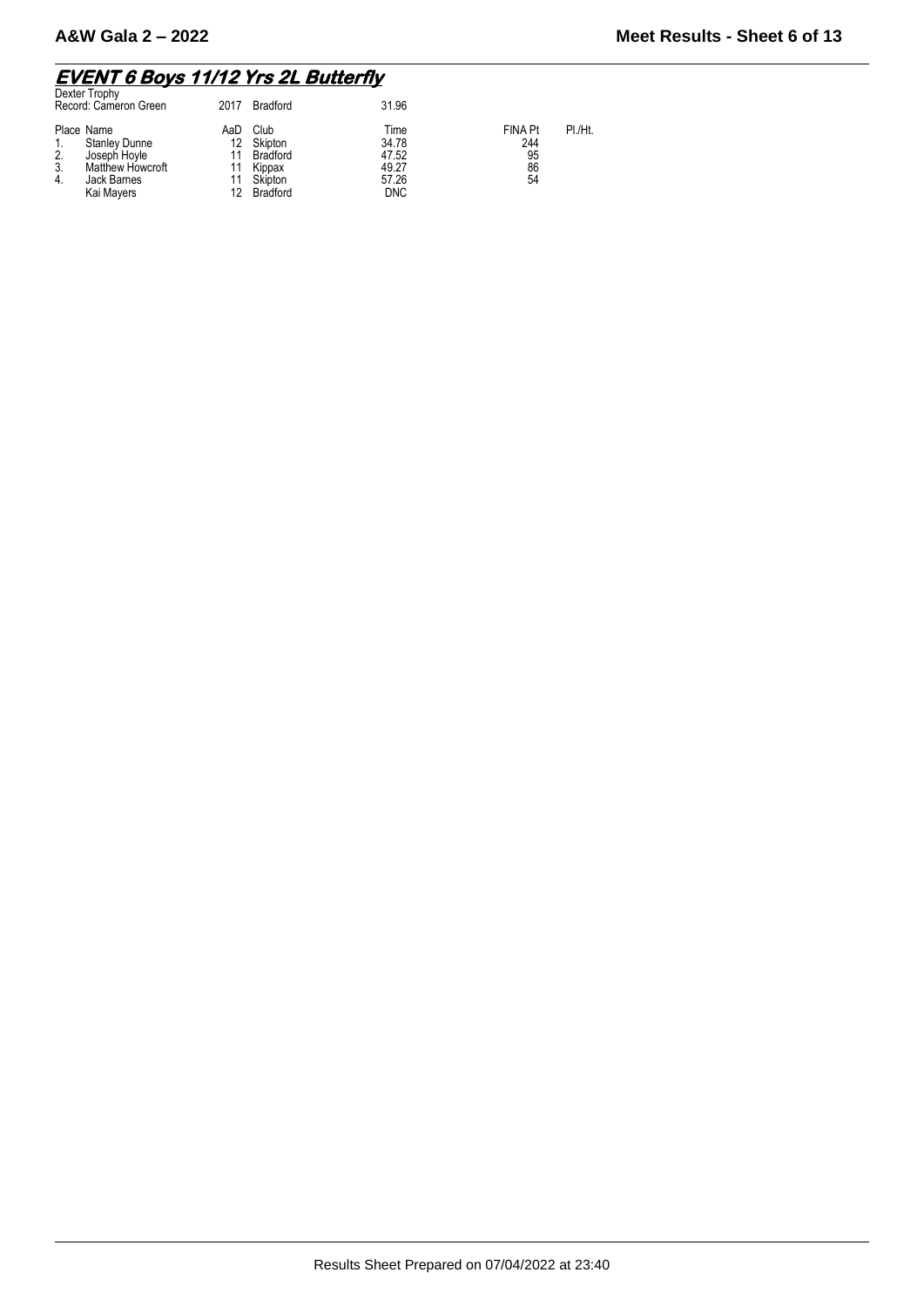#### **EVENT 6 Boys 11/12 Yrs 2L Butterfly**

| Dexter Trophy<br>Record: Cameron Green                                                                                       | 2017                  | <b>Bradford</b>                                              | 31.96                                                  |                                         |         |
|------------------------------------------------------------------------------------------------------------------------------|-----------------------|--------------------------------------------------------------|--------------------------------------------------------|-----------------------------------------|---------|
| Place Name<br><b>Stanley Dunne</b><br>2.<br>Joseph Hoyle<br>3.<br><b>Matthew Howcroft</b><br>Jack Barnes<br>4.<br>Kai Mayers | AaD<br>12<br>11<br>12 | Club<br>Skipton<br>Bradford<br>Kippax<br>Skipton<br>Bradford | Time<br>34.78<br>47.52<br>49.27<br>57.26<br><b>DNC</b> | <b>FINA Pt</b><br>244<br>95<br>86<br>54 | PI./Ht. |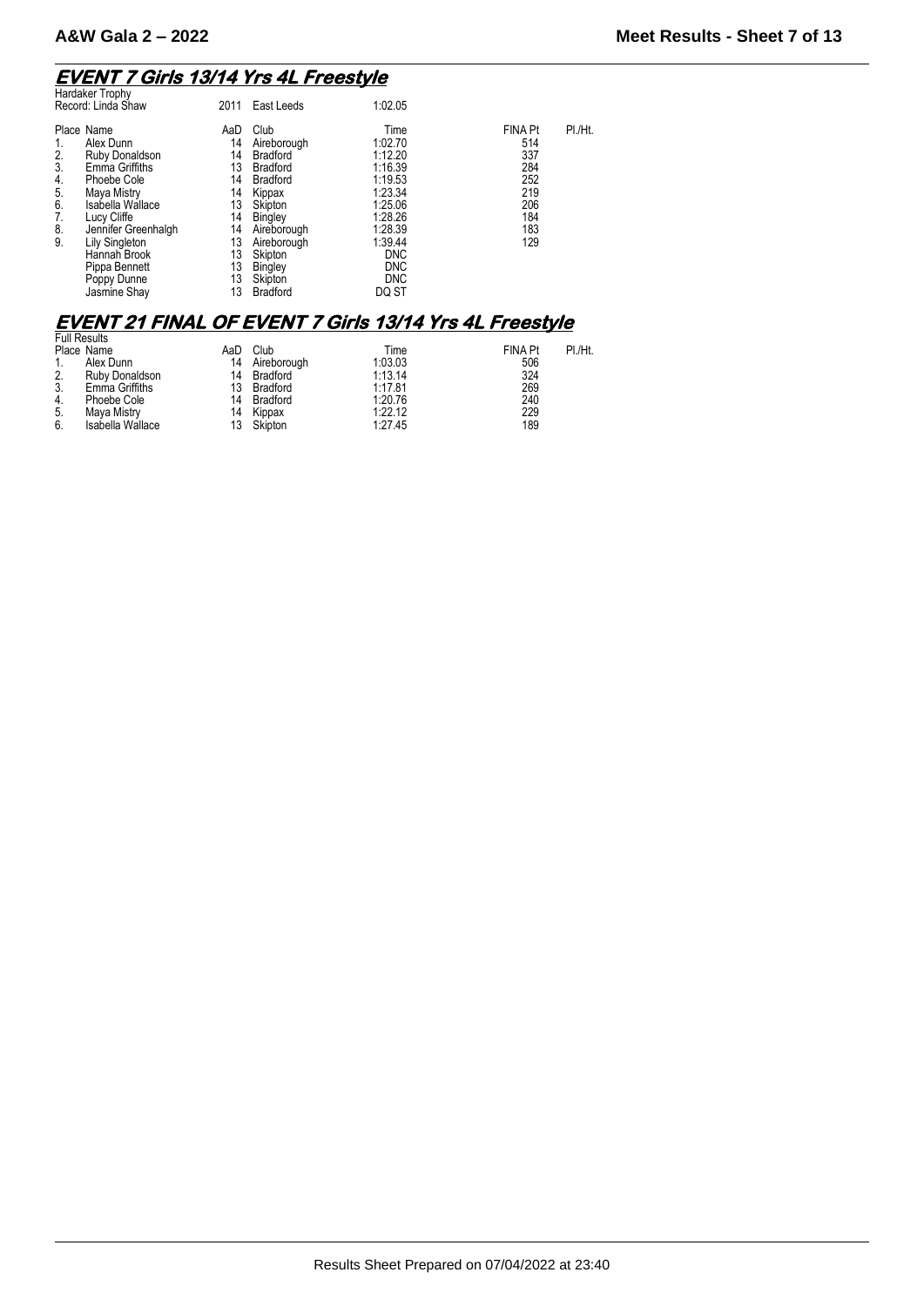## **EVENT 7 Girls 13/14 Yrs 4L Freestyle**  Hardaker Trophy

| <b>FINA Pt</b><br>Place Name<br>Club<br>Time<br>AaD<br>1:02.70<br>514<br>Alex Dunn<br>14<br>Aireborough<br>1:12.20<br>337<br>2.<br>14<br><b>Bradford</b><br>Ruby Donaldson<br>Emma Griffiths<br>1:16.39<br>284<br>3.<br>13<br><b>Bradford</b><br>252<br>1:19.53<br>Phoebe Cole<br>14<br><b>Bradford</b><br>4.<br>1:23.34<br>219<br>5.<br>Maya Mistry<br>14<br>Kippax<br>Isabella Wallace<br>206<br>6.<br>1:25.06<br>13<br>Skipton<br>184<br>7.<br>14<br>1:28.26<br>Lucy Cliffe<br>Bingley<br>183<br>1:28.39<br>8.<br>14<br>Jennifer Greenhalgh<br>Aireborough<br>9.<br>129<br>13<br>1:39.44<br><b>Lily Singleton</b><br>Aireborough<br>13<br>Skipton<br>Hannah Brook<br><b>DNC</b><br>13<br><b>DNC</b><br>Bingley<br>Pippa Bennett<br>13<br>Skipton<br><b>DNC</b><br>Poppy Dunne | Haluakel Tiopily<br>Record: Linda Shaw | 2011 | East Leeds      | 1:02.05 |         |
|----------------------------------------------------------------------------------------------------------------------------------------------------------------------------------------------------------------------------------------------------------------------------------------------------------------------------------------------------------------------------------------------------------------------------------------------------------------------------------------------------------------------------------------------------------------------------------------------------------------------------------------------------------------------------------------------------------------------------------------------------------------------------------|----------------------------------------|------|-----------------|---------|---------|
|                                                                                                                                                                                                                                                                                                                                                                                                                                                                                                                                                                                                                                                                                                                                                                                  | Jasmine Shay                           | 13   | <b>Bradford</b> | DQ ST   | PI./Ht. |

### **EVENT 21 FINAL OF EVENT 7 Girls 13/14 Yrs 4L Freestyle**

|    | <b>Full Results</b> |     |             |         |                |         |
|----|---------------------|-----|-------------|---------|----------------|---------|
|    | Place Name          | AaD | Club        | Time    | <b>FINA Pt</b> | PI./Ht. |
|    | Alex Dunn           | 14  | Aireborough | 1:03.03 | 506            |         |
| 2. | Ruby Donaldson      |     | 14 Bradford | 1:13.14 | 324            |         |
| 3. | Emma Griffiths      |     | 13 Bradford | 1:17.81 | 269            |         |
| 4. | Phoebe Cole         |     | 14 Bradford | 1:20.76 | 240            |         |
| 5. | Mava Mistry         |     | 14 Kippax   | 1:22.12 | 229            |         |
| 6. | Isabella Wallace    |     | 13 Skipton  | 1:27.45 | 189            |         |
|    |                     |     |             |         |                |         |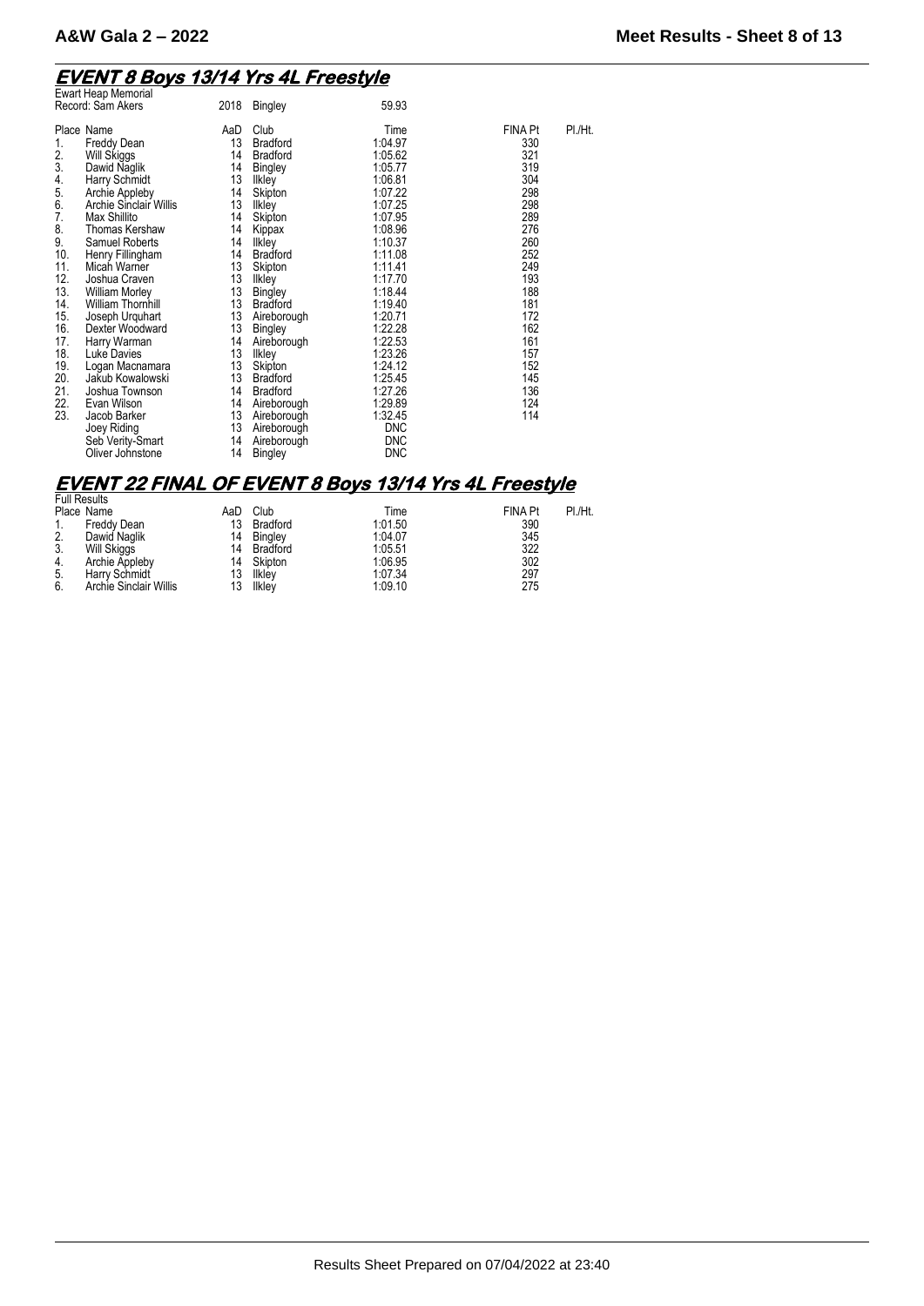# **EVENT 8 Boys 13/14 Yrs 4L Freestyle**  Ewart Heap Memorial

| <b>Ewart Heap Memorial</b><br>Record: Sam Akers                                                                                                                                                                                                                                                                                                                                                                                                                                                                                                                                                                                                    | 2018                                                                                                                                                      | <b>Bingley</b>                                                                                                                                                                                                                                                                                                                                                                 | 59.93                                                                                                                                                                                                                                                                                         |                                                                                                                                                                                 |         |
|----------------------------------------------------------------------------------------------------------------------------------------------------------------------------------------------------------------------------------------------------------------------------------------------------------------------------------------------------------------------------------------------------------------------------------------------------------------------------------------------------------------------------------------------------------------------------------------------------------------------------------------------------|-----------------------------------------------------------------------------------------------------------------------------------------------------------|--------------------------------------------------------------------------------------------------------------------------------------------------------------------------------------------------------------------------------------------------------------------------------------------------------------------------------------------------------------------------------|-----------------------------------------------------------------------------------------------------------------------------------------------------------------------------------------------------------------------------------------------------------------------------------------------|---------------------------------------------------------------------------------------------------------------------------------------------------------------------------------|---------|
| Place Name<br>Freddy Dean<br>1.<br>2.<br>Will Skiggs<br>3.<br>Dawid Naglik<br>4.<br>Harry Schmidt<br>5.<br>Archie Appleby<br>6.<br>Archie Sinclair Willis<br>7.<br>Max Shillito<br>8.<br>Thomas Kershaw<br>9.<br><b>Samuel Roberts</b><br>10.<br>Henry Fillingham<br>11.<br>Micah Warner<br>12.<br>Joshua Craven<br>13.<br><b>William Morley</b><br>14.<br><b>William Thornhill</b><br>15.<br>Joseph Urquhart<br>16.<br>Dexter Woodward<br>17.<br>Harry Warman<br>18.<br>Luke Davies<br>19.<br>Logan Macnamara<br>20.<br>Jakub Kowalowski<br>21.<br>Joshua Townson<br>22.<br>Evan Wilson<br>23.<br>Jacob Barker<br>Joey Riding<br>Seb Verity-Smart | AaD<br>13<br>14<br>14<br>13<br>14<br>13<br>14<br>14<br>14<br>14<br>13<br>13<br>13<br>13<br>13<br>13<br>14<br>13<br>13<br>13<br>14<br>14<br>13<br>13<br>14 | Club<br><b>Bradford</b><br><b>Bradford</b><br><b>Bingley</b><br><b>Ilkley</b><br>Skipton<br>Ilkley<br>Skipton<br>Kippax<br>Ilkley<br><b>Bradford</b><br>Skipton<br>Ilkley<br><b>Bingley</b><br><b>Bradford</b><br>Aireborough<br>Bingley<br>Aireborough<br>Ilkley<br>Skipton<br><b>Bradford</b><br><b>Bradford</b><br>Aireborough<br>Aireborough<br>Aireborough<br>Aireborough | Time<br>1:04.97<br>1:05.62<br>1:05.77<br>1:06.81<br>1:07.22<br>1:07.25<br>1:07.95<br>1:08.96<br>1:10.37<br>1:11.08<br>1:11.41<br>1:17.70<br>1:18.44<br>1:19.40<br>1:20.71<br>1:22.28<br>1:22.53<br>1:23.26<br>1:24.12<br>1:25.45<br>1:27.26<br>1:29.89<br>1:32.45<br><b>DNC</b><br><b>DNC</b> | <b>FINA Pt</b><br>330<br>321<br>319<br>304<br>298<br>298<br>289<br>276<br>260<br>252<br>249<br>193<br>188<br>181<br>172<br>162<br>161<br>157<br>152<br>145<br>136<br>124<br>114 | PI./Ht. |
| Oliver Johnstone                                                                                                                                                                                                                                                                                                                                                                                                                                                                                                                                                                                                                                   | 14                                                                                                                                                        | Bingley                                                                                                                                                                                                                                                                                                                                                                        | <b>DNC</b>                                                                                                                                                                                                                                                                                    |                                                                                                                                                                                 |         |

### **EVENT 22 FINAL OF EVENT 8 Boys 13/14 Yrs 4L Freestyle**

|    | <b>Full Results</b>           |     |          |         |                |         |
|----|-------------------------------|-----|----------|---------|----------------|---------|
|    | Place Name                    | AaD | Club     | Time    | <b>FINA Pt</b> | PI./Ht. |
|    | Freddy Dean                   | 13  | Bradford | 1:01.50 | 390            |         |
| 2. | Dawid Naglik                  | 14  | Bingley  | 1:04.07 | 345            |         |
| 3. | Will Skiggs                   | 14  | Bradford | 1:05.51 | 322            |         |
| 4. | Archie Appleby                | 14  | Skipton  | 1:06.95 | 302            |         |
| 5. | Harry Schmidt                 | 13  | Ilkley   | 1:07.34 | 297            |         |
| 6. | <b>Archie Sinclair Willis</b> | 13  | Ilkley   | 1:09.10 | 275            |         |
|    |                               |     |          |         |                |         |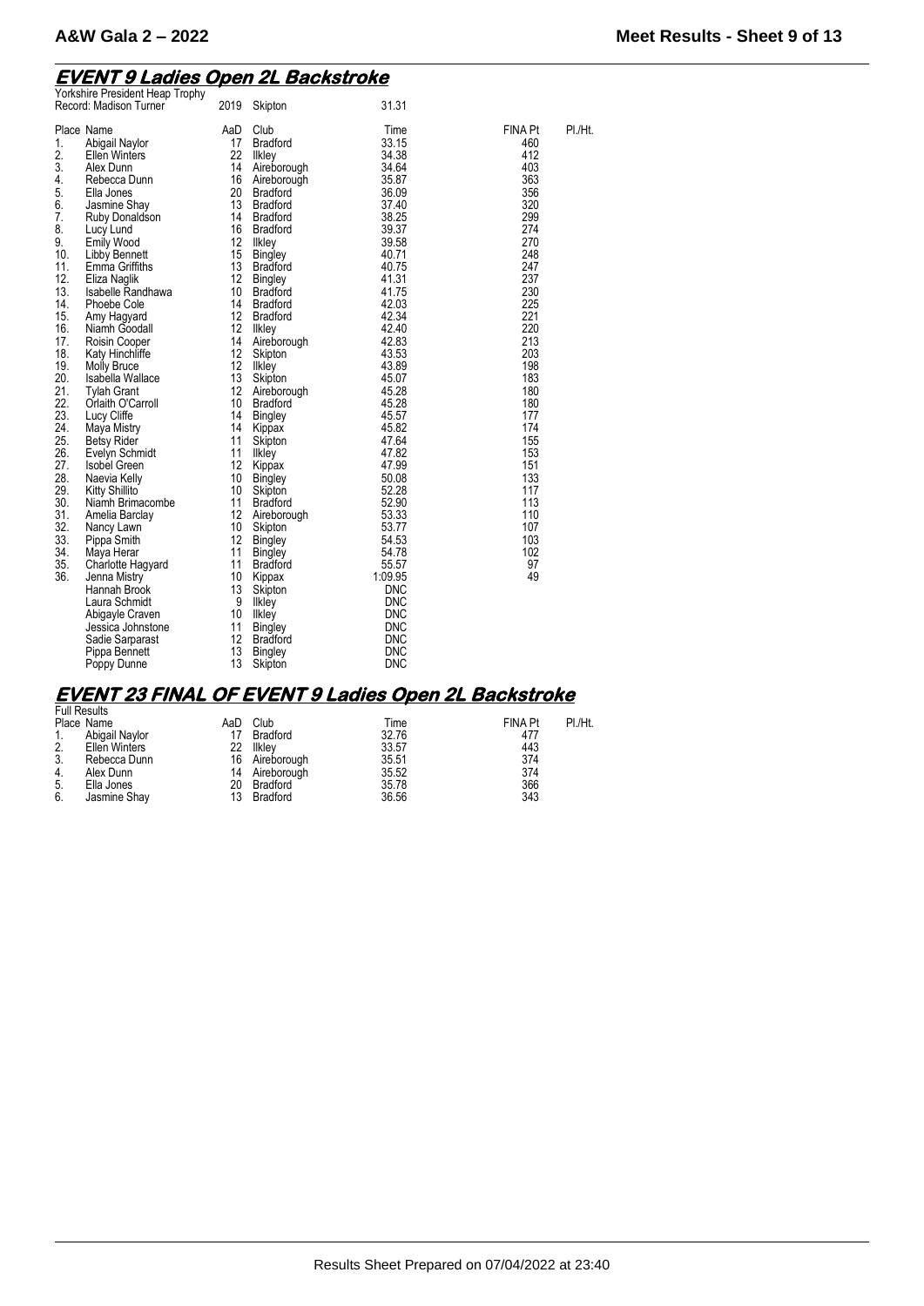### **EVENT 9 Ladies Open 2L Backstroke**

| Yorkshire President Heap Trophy<br>Record: Madison Turner                                                                                                                                                                                                                                                                                                                                                                                                                                                                                                                                                                                                                                                                                                                                                                                                                                                                                                                                                                                               | 2019                                                                                                                                                                                                                                                                 | Skipton                                                                                                                                                                                                                                                                                                                                                                                                                                                                                                                                                                                                                                                                               | 31.31                                                                                                                                                                                                                                                                                                                                                                                                                                        |                                                                                                                                                                                                                                                                          |         |
|---------------------------------------------------------------------------------------------------------------------------------------------------------------------------------------------------------------------------------------------------------------------------------------------------------------------------------------------------------------------------------------------------------------------------------------------------------------------------------------------------------------------------------------------------------------------------------------------------------------------------------------------------------------------------------------------------------------------------------------------------------------------------------------------------------------------------------------------------------------------------------------------------------------------------------------------------------------------------------------------------------------------------------------------------------|----------------------------------------------------------------------------------------------------------------------------------------------------------------------------------------------------------------------------------------------------------------------|---------------------------------------------------------------------------------------------------------------------------------------------------------------------------------------------------------------------------------------------------------------------------------------------------------------------------------------------------------------------------------------------------------------------------------------------------------------------------------------------------------------------------------------------------------------------------------------------------------------------------------------------------------------------------------------|----------------------------------------------------------------------------------------------------------------------------------------------------------------------------------------------------------------------------------------------------------------------------------------------------------------------------------------------------------------------------------------------------------------------------------------------|--------------------------------------------------------------------------------------------------------------------------------------------------------------------------------------------------------------------------------------------------------------------------|---------|
| Place Name<br>Abigail Naylor<br>1.<br>2.<br><b>Ellen Winters</b><br>3.<br>Alex Dunn<br>4.<br>Rebecca Dunn<br>5.<br>Ella Jones<br>6.<br>Jasmine Shay<br>7.<br>Ruby Donaldson<br>8.<br>Lucy Lund<br>9.<br><b>Emily Wood</b><br>10.<br>Libby Bennett<br>11.<br>Emma Griffiths<br>12.<br>Eliza Naglik<br>13.<br>Isabelle Randhawa<br>14.<br>Phoebe Cole<br>15.<br>Amy Hagyard<br>16.<br>Niamh Goodall<br>17.<br>Roisin Cooper<br>18.<br>Katy Hinchliffe<br>19.<br><b>Molly Bruce</b><br>20.<br>Isabella Wallace<br>21.<br><b>Tylah Grant</b><br>22.<br>Orlaith O'Carroll<br>23.<br>Lucy Cliffe<br>24.<br>Maya Mistry<br>25.<br><b>Betsy Rider</b><br>26.<br>Evelyn Schmidt<br>27.<br><b>Isobel Green</b><br>28.<br>Naevia Kelly<br>29.<br>Kitty Shillito<br>30.<br>Niamh Brimacombe<br>31.<br>Amelia Barclay<br>32.<br>Nancy Lawn<br>33.<br>Pippa Smith<br>34.<br>Maya Herar<br>35.<br>Charlotte Hagyard<br>36.<br>Jenna Mistry<br>Hannah Brook<br>Laura Schmidt<br>Abigayle Craven<br>Jessica Johnstone<br>Sadie Sarparast<br>Pippa Bennett<br>Poppy Dunne | AaD<br>17<br>22<br>14<br>16<br>20<br>13<br>14<br>16<br>12<br>15<br>13<br>12<br>10<br>14<br>12<br>12<br>14<br>12<br>12<br>13<br>12<br>10<br>14<br>14<br>11<br>11<br>12<br>10<br>10<br>11<br>12<br>10<br>12<br>11<br>11<br>10<br>13<br>9<br>10<br>11<br>12<br>13<br>13 | Club<br><b>Bradford</b><br><b>Ilkley</b><br>Aireborough<br>Aireborough<br><b>Bradford</b><br><b>Bradford</b><br><b>Bradford</b><br><b>Bradford</b><br><b>Ilkley</b><br><b>Bingley</b><br><b>Bradford</b><br><b>Bingley</b><br><b>Bradford</b><br><b>Bradford</b><br><b>Bradford</b><br>llkley<br>Aireborough<br>Skipton<br>Ilkley<br>Skipton<br>Aireborough<br><b>Bradford</b><br><b>Bingley</b><br>Kippax<br>Skipton<br>Ilkley<br>Kippax<br><b>Bingley</b><br>Skipton<br><b>Bradford</b><br>Aireborough<br>Skipton<br><b>Bingley</b><br><b>Bingley</b><br><b>Bradford</b><br>Kippax<br>Skipton<br>Ilkley<br>Ilkley<br><b>Bingley</b><br><b>Bradford</b><br><b>Bingley</b><br>Skipton | Time<br>33.15<br>34.38<br>34.64<br>35.87<br>36.09<br>37.40<br>38.25<br>39.37<br>39.58<br>40.71<br>40.75<br>41.31<br>41.75<br>42.03<br>42.34<br>42.40<br>42.83<br>43.53<br>43.89<br>45.07<br>45.28<br>45.28<br>45.57<br>45.82<br>47.64<br>47.82<br>47.99<br>50.08<br>52.28<br>52.90<br>53.33<br>53.77<br>54.53<br>54.78<br>55.57<br>1:09.95<br><b>DNC</b><br><b>DNC</b><br><b>DNC</b><br><b>DNC</b><br><b>DNC</b><br><b>DNC</b><br><b>DNC</b> | <b>FINA Pt</b><br>460<br>412<br>403<br>363<br>356<br>320<br>299<br>274<br>270<br>248<br>247<br>237<br>230<br>225<br>221<br>220<br>213<br>203<br>198<br>183<br>180<br>180<br>177<br>174<br>155<br>153<br>151<br>133<br>117<br>113<br>110<br>107<br>103<br>102<br>97<br>49 | PI./Ht. |

### **EVENT 23 FINAL OF EVENT 9 Ladies Open 2L Backstroke**  Full Results

| ı uli i vəsullə |                      |     |                |       |                |         |
|-----------------|----------------------|-----|----------------|-------|----------------|---------|
|                 | Place Name           | AaD | Club           | Time  | <b>FINA Pt</b> | PI./Ht. |
|                 | Abigail Navlor       |     | Bradford       | 32.76 | 477            |         |
| 2.              | <b>Ellen Winters</b> | 22  | Ilklev         | 33.57 | 443            |         |
| 3.              | Rebecca Dunn         |     | 16 Aireborough | 35.51 | 374            |         |
| 4.              | Alex Dunn            |     | 14 Aireborough | 35.52 | 374            |         |
| -5.             | Ella Jones           | 20  | Bradford       | 35.78 | 366            |         |
| 6.              | Jasmine Shay         | 13  | Bradford       | 36.56 | 343            |         |
|                 |                      |     |                |       |                |         |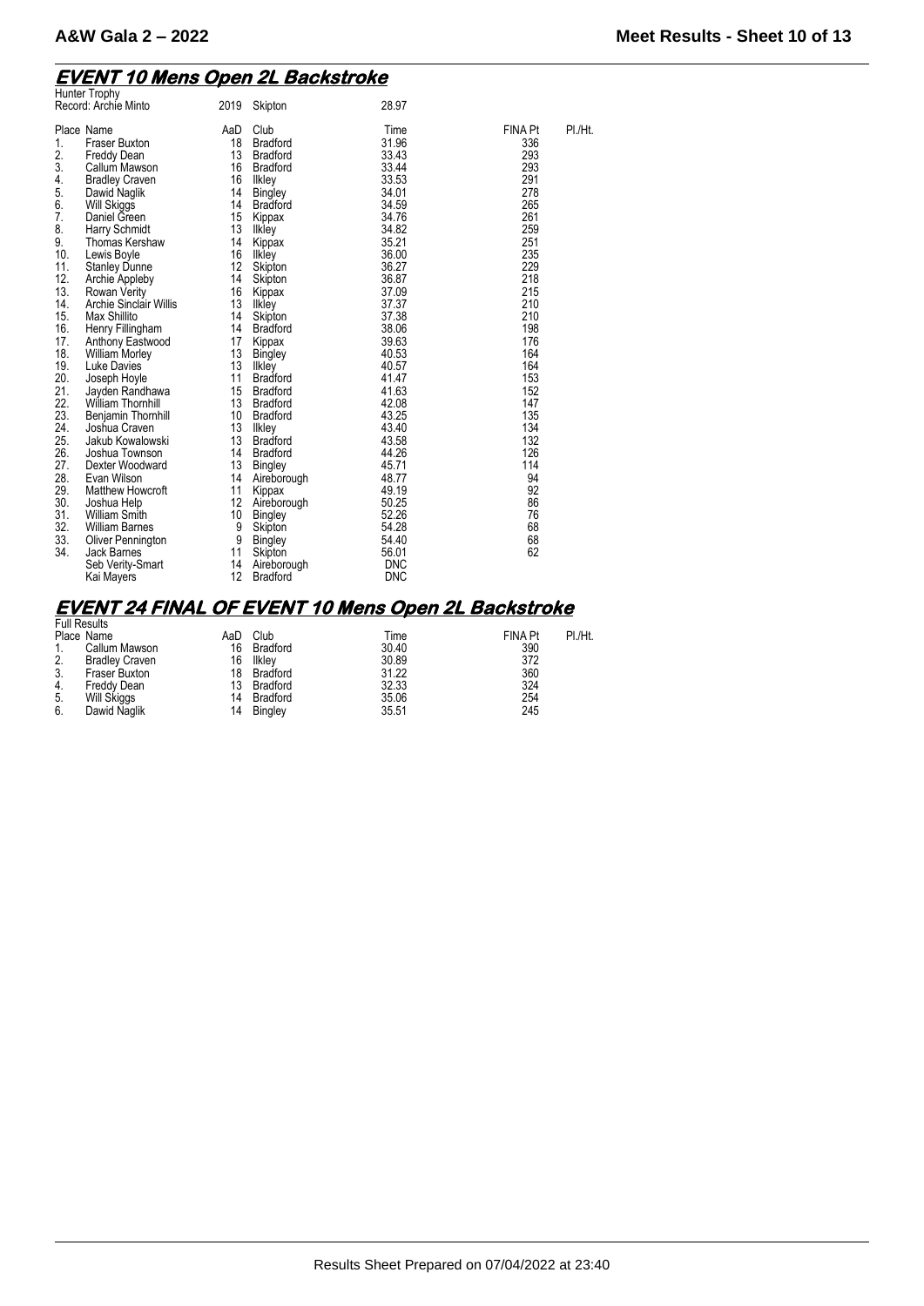### **EVENT 10 Mens Open 2L Backstroke**

|     | Hunter Trophy           |      |                 |            |                |         |
|-----|-------------------------|------|-----------------|------------|----------------|---------|
|     | Record: Archie Minto    | 2019 | Skipton         | 28.97      |                |         |
|     |                         |      |                 |            |                |         |
|     | Place Name              | AaD  | Club            | Time       | <b>FINA Pt</b> | PI./Ht. |
| 1.  | <b>Fraser Buxton</b>    | 18   | <b>Bradford</b> | 31.96      | 336            |         |
| 2.  | Freddy Dean             | 13   | <b>Bradford</b> | 33.43      | 293            |         |
| 3.  | Callum Mawson           | 16   | <b>Bradford</b> | 33.44      | 293            |         |
| 4.  | <b>Bradley Craven</b>   | 16   | likley          | 33.53      | 291            |         |
| 5.  | Dawid Naglik            | 14   | <b>Bingley</b>  | 34.01      | 278            |         |
| 6.  | <b>Will Skiggs</b>      | 14   | <b>Bradford</b> | 34.59      | 265            |         |
| 7.  | Daniel Green            | 15   | Kippax          | 34.76      | 261            |         |
| 8.  | Harry Schmidt           | 13   | Ilkley          | 34.82      | 259            |         |
| 9.  | Thomas Kershaw          | 14   | Kippax          | 35.21      | 251            |         |
| 10. | Lewis Boyle             | 16   | <b>Ilkley</b>   | 36.00      | 235            |         |
| 11. | <b>Stanley Dunne</b>    | 12   | Skipton         | 36.27      | 229            |         |
| 12. | <b>Archie Appleby</b>   | 14   | Skipton         | 36.87      | 218            |         |
| 13. | Rowan Verity            | 16   | Kippax          | 37.09      | 215            |         |
| 14. | Archie Sinclair Willis  | 13   | Ilkley          | 37.37      | 210            |         |
| 15. | Max Shillito            | 14   | Skipton         | 37.38      | 210            |         |
| 16. | Henry Fillingham        | 14   | <b>Bradford</b> | 38.06      | 198            |         |
| 17. | Anthony Eastwood        | 17   | Kippax          | 39.63      | 176            |         |
| 18. | <b>William Morley</b>   | 13   | <b>Bingley</b>  | 40.53      | 164            |         |
| 19. | Luke Davies             | 13   | Ilkley          | 40.57      | 164            |         |
| 20. | Joseph Hoyle            | 11   | <b>Bradford</b> | 41.47      | 153            |         |
| 21. | Jayden Randhawa         | 15   | <b>Bradford</b> | 41.63      | 152            |         |
| 22. | <b>William Thomhill</b> | 13   | <b>Bradford</b> | 42.08      | 147            |         |
| 23. | Benjamin Thornhill      | 10   | <b>Bradford</b> | 43.25      | 135            |         |
| 24. | Joshua Craven           | 13   | Ilkley          | 43.40      | 134            |         |
| 25. | Jakub Kowalowski        | 13   | <b>Bradford</b> | 43.58      | 132            |         |
| 26. | Joshua Townson          | 14   | <b>Bradford</b> | 44.26      | 126            |         |
| 27. | Dexter Woodward         | 13   | Bingley         | 45.71      | 114            |         |
| 28. | Evan Wilson             | 14   | Aireborough     | 48.77      | 94             |         |
| 29. | <b>Matthew Howcroft</b> | 11   | Kippax          | 49.19      | 92             |         |
| 30. | Joshua Help             | 12   | Aireborough     | 50.25      | 86             |         |
| 31. | <b>William Smith</b>    | 10   | <b>Bingley</b>  | 52.26      | 76             |         |
| 32. | <b>William Barnes</b>   | 9    | Skipton         | 54.28      | 68             |         |
| 33. | Oliver Pennington       | 9    | <b>Bingley</b>  | 54.40      | 68             |         |
| 34. | Jack Barnes             | 11   | Skipton         | 56.01      | 62             |         |
|     | Seb Verity-Smart        | 14   | Aireborough     | <b>DNC</b> |                |         |
|     | Kai Mayers              | 12   | <b>Bradford</b> | <b>DNC</b> |                |         |
|     |                         |      |                 |            |                |         |

# **EVENT 24 FINAL OF EVENT 10 Mens Open 2L Backstroke**  Full Results

| <b>FUIL RESULS</b> |                       |     |                 |       |                |         |
|--------------------|-----------------------|-----|-----------------|-------|----------------|---------|
|                    | Place Name            | AaD | Club            | Time  | <b>FINA Pt</b> | PI./Ht. |
|                    | Callum Mawson         | 16  | Bradford        | 30.40 | 390            |         |
| 2.                 | <b>Bradley Craven</b> | 16  | Ilklev          | 30.89 | 372            |         |
| 3.                 | Fraser Buxton         | 18  | Bradford        | 31.22 | 360            |         |
| 4.                 | Freddy Dean           | 13  | <b>Bradford</b> | 32.33 | 324            |         |
| -5.                | Will Skiggs           | 14  | Bradford        | 35.06 | 254            |         |
| 6.                 | Dawid Naglik          | 14  | Bingley         | 35.51 | 245            |         |
|                    |                       |     |                 |       |                |         |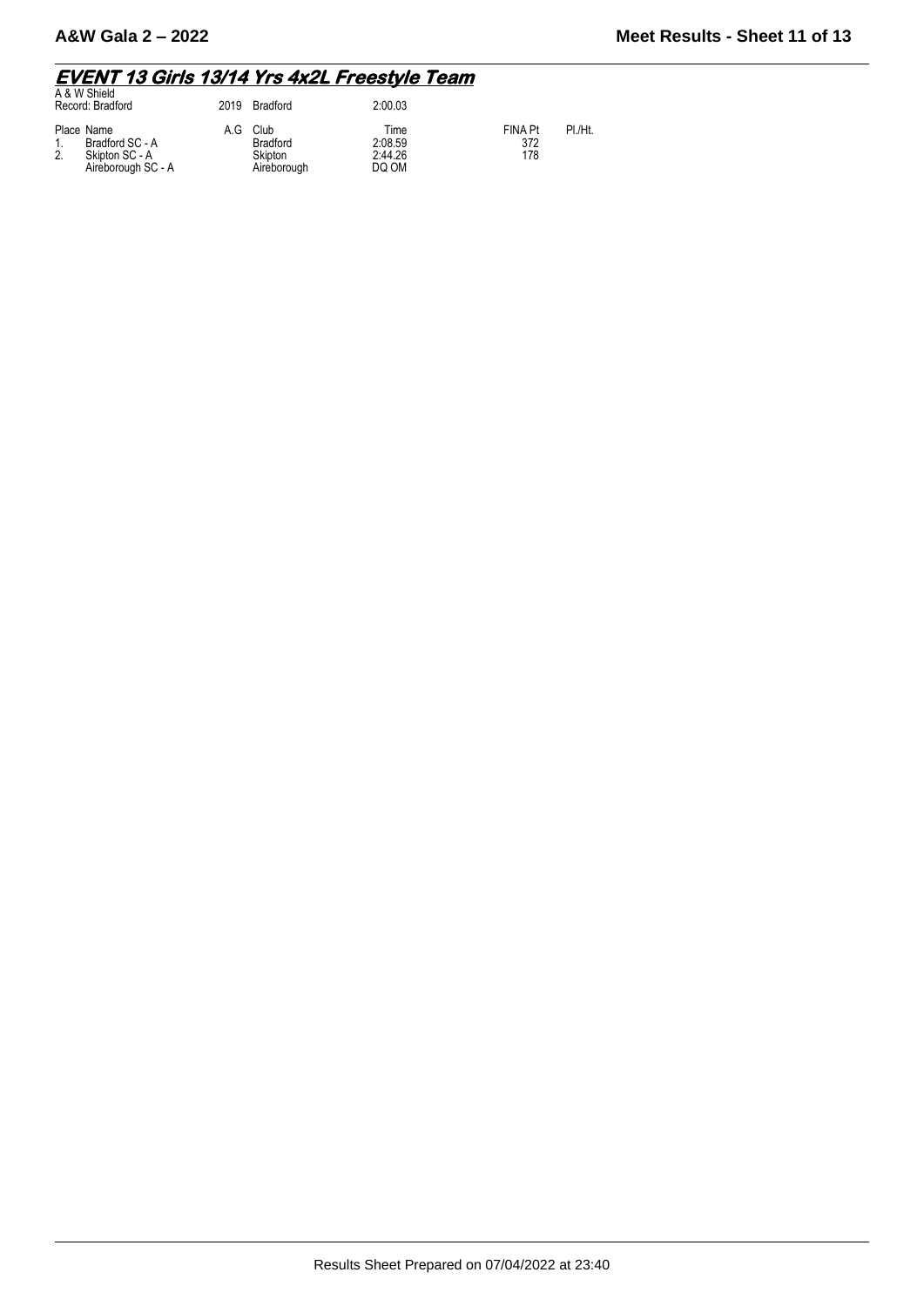## **EVENT 13 Girls 13/14 Yrs 4x2L Freestyle Team**  A & W Shield

| A & W Shield<br>Record: Bradford                                      | 2019 | Bradford                                          | 2:00.03                             |                              |         |
|-----------------------------------------------------------------------|------|---------------------------------------------------|-------------------------------------|------------------------------|---------|
| Place Name<br>Bradford SC - A<br>Skipton SC - A<br>Aireborough SC - A | A.G  | Club<br><b>Bradford</b><br>Skipton<br>Aireborough | Time<br>2:08.59<br>2:44.26<br>DQ OM | <b>FINA Pt</b><br>372<br>178 | PI /Ht. |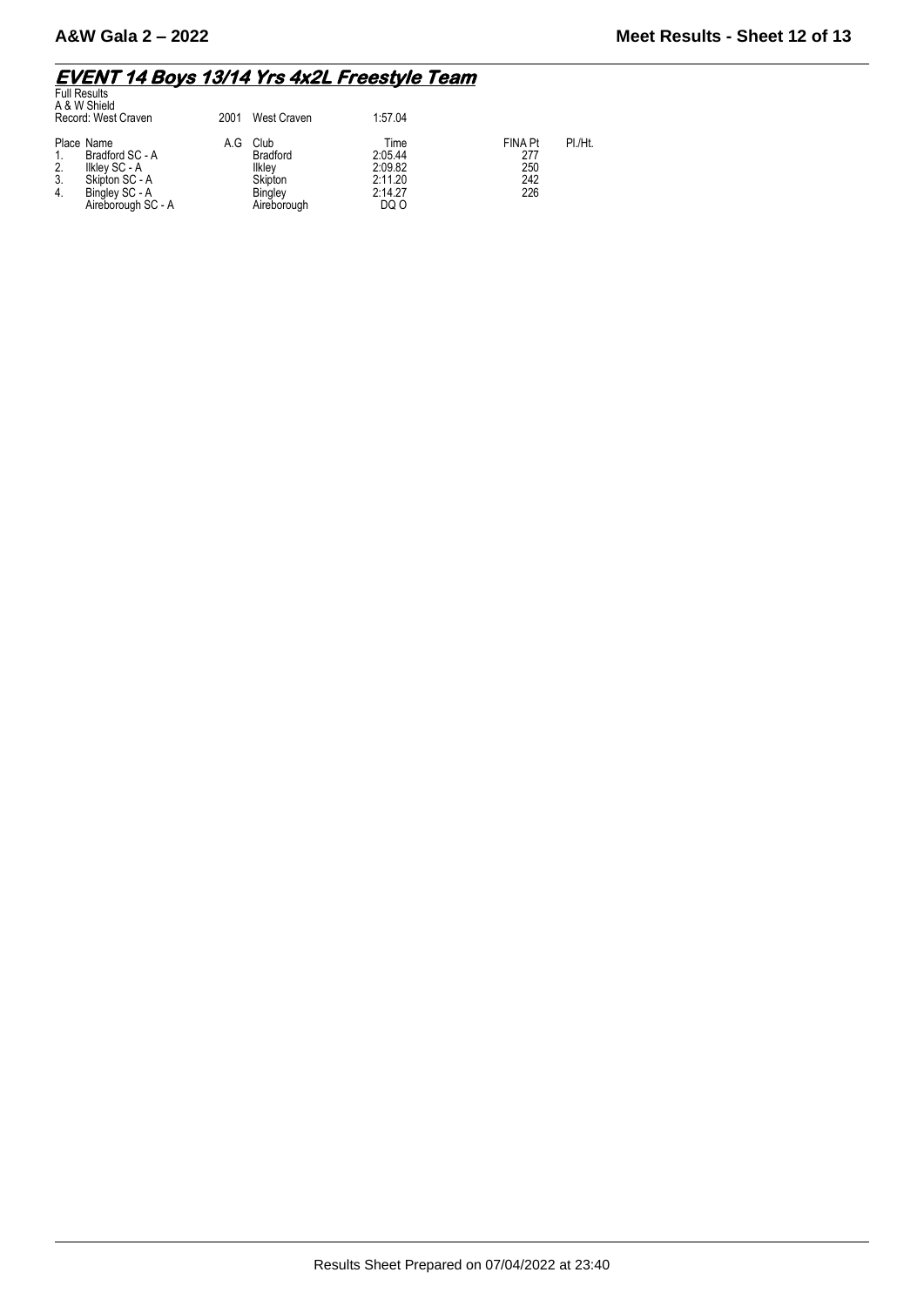# **EVENT 14 Boys 13/14 Yrs 4x2L Freestyle Team**  Full Results

|                | ı uli i wəullə<br>A & W Shield<br>Record: West Craven                                                    | 2001 | West Craven                                                                   | 1:57.04                                                  |                                            |         |
|----------------|----------------------------------------------------------------------------------------------------------|------|-------------------------------------------------------------------------------|----------------------------------------------------------|--------------------------------------------|---------|
| 2.<br>3.<br>4. | Place Name<br>Bradford SC - A<br>Ilkley SC - A<br>Skipton SC - A<br>Bingley SC - A<br>Aireborough SC - A | A.G  | Club<br><b>Bradford</b><br>Ilklev<br>Skipton<br><b>Bingley</b><br>Aireborough | Time<br>2:05.44<br>2:09.82<br>2:11.20<br>2:14.27<br>DQ O | <b>FINA Pt</b><br>277<br>250<br>242<br>226 | PI./Ht. |